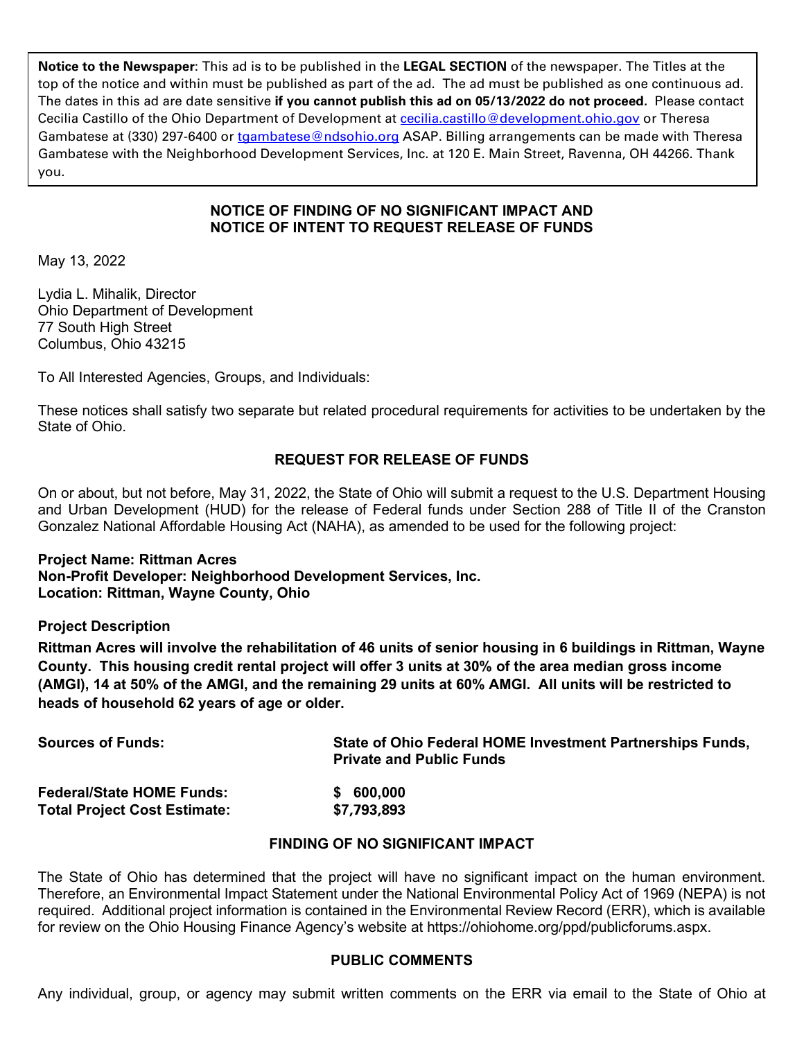**Notice to the Newspaper**: This ad is to be published in the **LEGAL SECTION** of the newspaper. The Titles at the top of the notice and within must be published as part of the ad. The ad must be published as one continuous ad. The dates in this ad are date sensitive **if you cannot publish this ad on 05/13/2022 do not proceed.** Please contact Cecilia Castillo of the Ohio Department of Development at [cecilia.castillo@development.ohio.gov](mailto:cecilia.castillo@development.ohio.gov) or Theresa Gambatese at (330) 297-6400 or [tgambatese@ndsohio.org](mailto:tgambatese@ndsohio.org) ASAP. Billing arrangements can be made with Theresa Gambatese with the Neighborhood Development Services, Inc. at 120 E. Main Street, Ravenna, OH 44266. Thank you.

#### **NOTICE OF FINDING OF NO SIGNIFICANT IMPACT AND NOTICE OF INTENT TO REQUEST RELEASE OF FUNDS**

May 13, 2022

Lydia L. Mihalik, Director Ohio Department of Development 77 South High Street Columbus, Ohio 43215

To All Interested Agencies, Groups, and Individuals:

These notices shall satisfy two separate but related procedural requirements for activities to be undertaken by the State of Ohio.

# **REQUEST FOR RELEASE OF FUNDS**

On or about, but not before, May 31, 2022, the State of Ohio will submit a request to the U.S. Department Housing and Urban Development (HUD) for the release of Federal funds under Section 288 of Title II of the Cranston Gonzalez National Affordable Housing Act (NAHA), as amended to be used for the following project:

#### **Project Name: Rittman Acres Non-Profit Developer: Neighborhood Development Services, Inc. Location: Rittman, Wayne County, Ohio**

#### **Project Description**

**Rittman Acres will involve the rehabilitation of 46 units of senior housing in 6 buildings in Rittman, Wayne County. This housing credit rental project will offer 3 units at 30% of the area median gross income (AMGI), 14 at 50% of the AMGI, and the remaining 29 units at 60% AMGI. All units will be restricted to heads of household 62 years of age or older.** 

| <b>Sources of Funds:</b>            | State of Ohio Federal HOME Investment Partnerships Funds,<br><b>Private and Public Funds</b> |
|-------------------------------------|----------------------------------------------------------------------------------------------|
| <b>Federal/State HOME Funds:</b>    | \$600,000                                                                                    |
| <b>Total Project Cost Estimate:</b> | \$7,793,893                                                                                  |

#### **FINDING OF NO SIGNIFICANT IMPACT**

The State of Ohio has determined that the project will have no significant impact on the human environment. Therefore, an Environmental Impact Statement under the National Environmental Policy Act of 1969 (NEPA) is not required. Additional project information is contained in the Environmental Review Record (ERR), which is available for review on the Ohio Housing Finance Agency's website at https://ohiohome.org/ppd/publicforums.aspx.

#### **PUBLIC COMMENTS**

Any individual, group, or agency may submit written comments on the ERR via email to the State of Ohio at